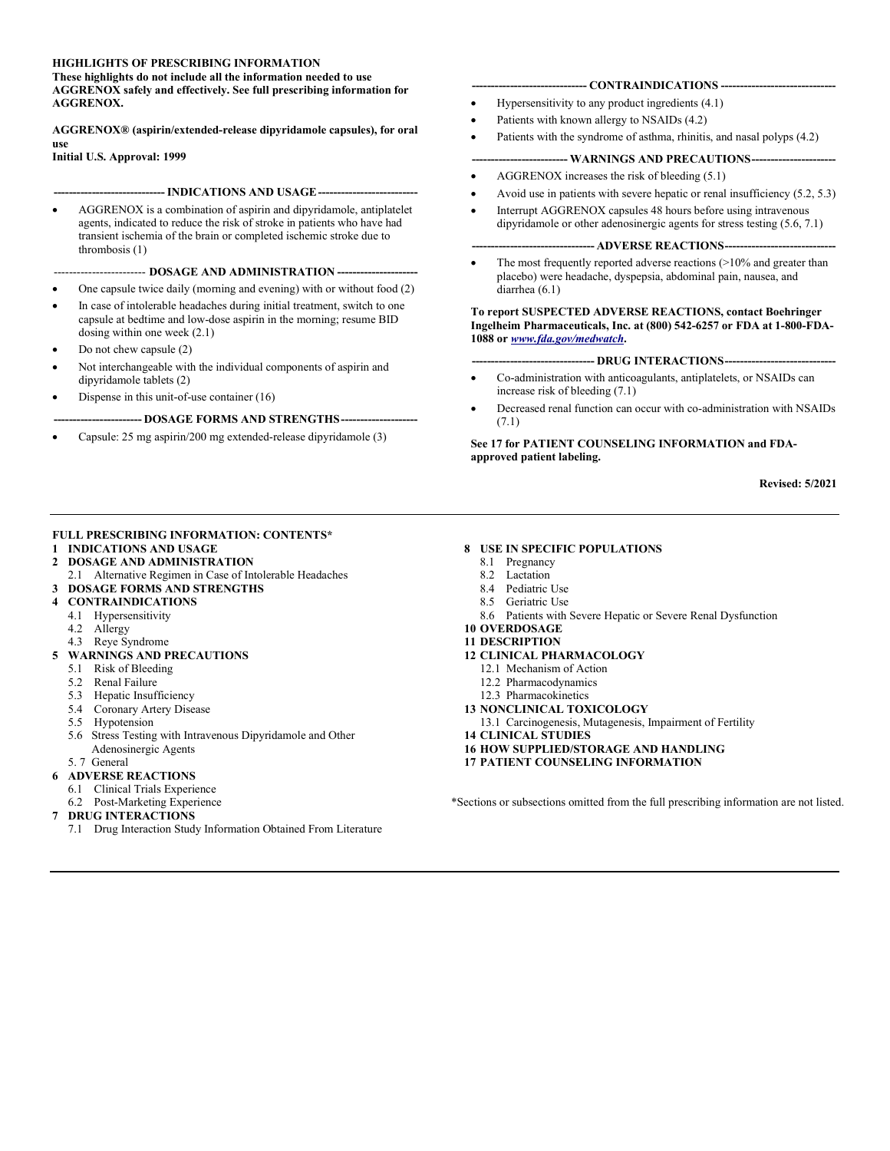# HIGHLIGHTS OF PRESCRIBING INFORMATION

These highlights do not include all the information needed to use AGGRENOX safely and effectively. See full prescribing information for AGGRENOX.

AGGRENOX® (aspirin/extended-release dipyridamole capsules), for oral use

Initial U.S. Approval: 1999

#### -- INDICATIONS AND USAGE ---

 AGGRENOX is a combination of aspirin and dipyridamole, antiplatelet agents, indicated to reduce the risk of stroke in patients who have had transient ischemia of the brain or completed ischemic stroke due to thrombosis (1)

## ---- DOSAGE AND ADMINISTRATION ----

- One capsule twice daily (morning and evening) with or without food (2)
- In case of intolerable headaches during initial treatment, switch to one capsule at bedtime and low-dose aspirin in the morning; resume BID dosing within one week (2.1)
- Do not chew capsule (2)
- Not interchangeable with the individual components of aspirin and dipyridamole tablets (2)
- Dispense in this unit-of-use container (16)

# -DOSAGE FORMS AND STRENGTHS---

Capsule: 25 mg aspirin/200 mg extended-release dipyridamole (3)

## -- CONTRAINDICATIONS --

- Hypersensitivity to any product ingredients (4.1)
- Patients with known allergy to NSAIDs (4.2)
- Patients with the syndrome of asthma, rhinitis, and nasal polyps (4.2)

# - WARNINGS AND PRECAUTIONS----------

- AGGRENOX increases the risk of bleeding (5.1)
- Avoid use in patients with severe hepatic or renal insufficiency (5.2, 5.3)
- Interrupt AGGRENOX capsules 48 hours before using intravenous dipyridamole or other adenosinergic agents for stress testing (5.6, 7.1)

## -- ADVERSE REACTIONS-

 The most frequently reported adverse reactions (>10% and greater than placebo) were headache, dyspepsia, abdominal pain, nausea, and diarrhea (6.1)

# To report SUSPECTED ADVERSE REACTIONS, contact Boehringer Ingelheim Pharmaceuticals, Inc. at (800) 542-6257 or FDA at 1-800-FDA-1088 or www.fda.gov/medwatch.

## -- DRUG INTERACTIONS ---

- Co-administration with anticoagulants, antiplatelets, or NSAIDs can increase risk of bleeding (7.1)
- Decreased renal function can occur with co-administration with NSAIDs (7.1)

# See 17 for PATIENT COUNSELING INFORMATION and FDAapproved patient labeling.

Revised: 5/2021

# FULL PRESCRIBING INFORMATION: CONTENTS\*

- 1 INDICATIONS AND USAGE
- 2 DOSAGE AND ADMINISTRATION
- 2.1 Alternative Regimen in Case of Intolerable Headaches
- 3 DOSAGE FORMS AND STRENGTHS
- 4 CONTRAINDICATIONS
	- 4.1 Hypersensitivity
	- 4.2 Allergy
- 4.3 Reye Syndrome
- 5 WARNINGS AND PRECAUTIONS
	- 5.1 Risk of Bleeding
	- 5.2 Renal Failure
	- 5.3 Hepatic Insufficiency
	- 5.4 Coronary Artery Disease
	- 5.5 Hypotension
	- 5.6 Stress Testing with Intravenous Dipyridamole and Other Adenosinergic Agents
	- 5. 7 General

## 6 ADVERSE REACTIONS

- 6.1 Clinical Trials Experience
- 6.2 Post-Marketing Experience
- 7 DRUG INTERACTIONS

I

7.1 Drug Interaction Study Information Obtained From Literature

# 8 USE IN SPECIFIC POPULATIONS

- 8.1 Pregnancy
- 8.2 Lactation
- 8.4 Pediatric Use
- 8.5 Geriatric Use
- 8.6 Patients with Severe Hepatic or Severe Renal Dysfunction
- 10 OVERDOSAGE

# 11 DESCRIPTION

- 12 CLINICAL PHARMACOLOGY
	- 12.1 Mechanism of Action
	- 12.2 Pharmacodynamics
	- 12.3 Pharmacokinetics
- 13 NONCLINICAL TOXICOLOGY
- 13.1 Carcinogenesis, Mutagenesis, Impairment of Fertility
- 14 CLINICAL STUDIES
- 16 HOW SUPPLIED/STORAGE AND HANDLING
- 17 PATIENT COUNSELING INFORMATION

\*Sections or subsections omitted from the full prescribing information are not listed.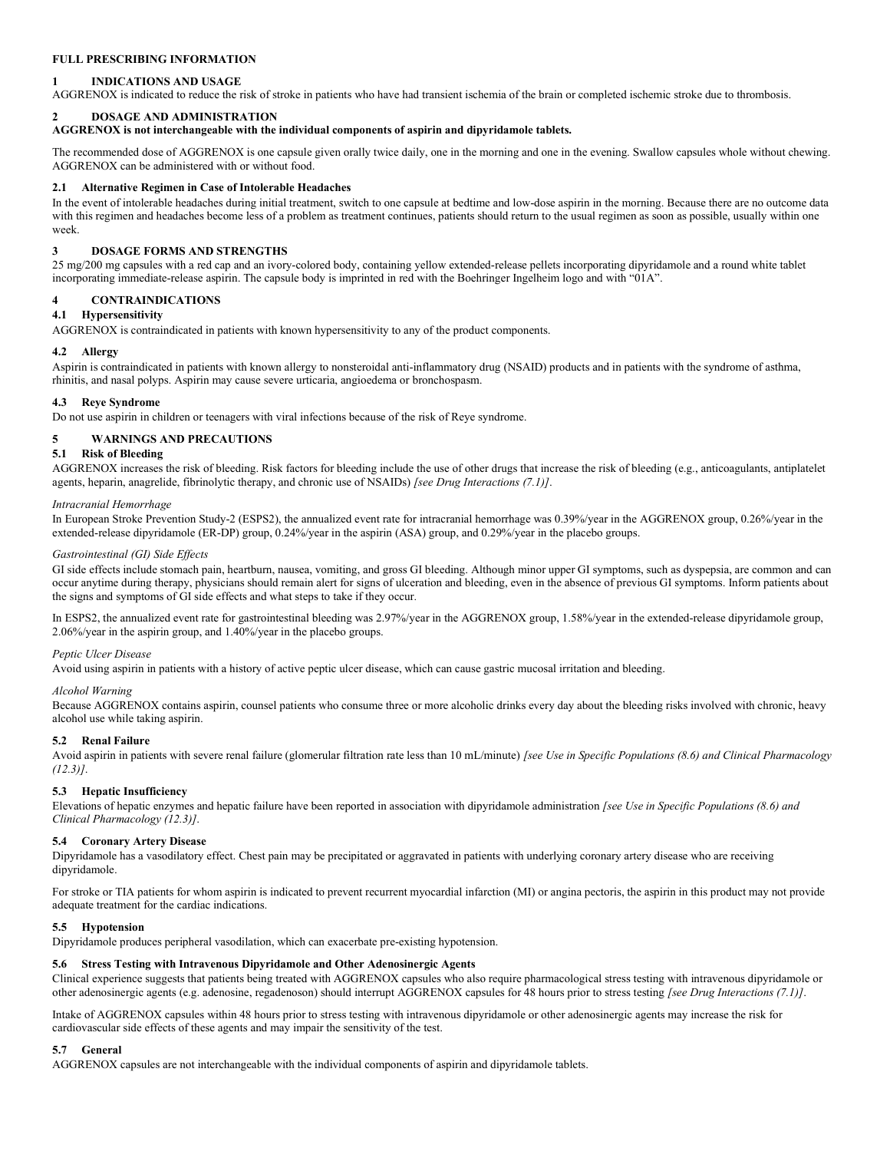# FULL PRESCRIBING INFORMATION

# 1 INDICATIONS AND USAGE

AGGRENOX is indicated to reduce the risk of stroke in patients who have had transient ischemia of the brain or completed ischemic stroke due to thrombosis.

# 2 DOSAGE AND ADMINISTRATION

AGGRENOX is not interchangeable with the individual components of aspirin and dipyridamole tablets.

The recommended dose of AGGRENOX is one capsule given orally twice daily, one in the morning and one in the evening. Swallow capsules whole without chewing. AGGRENOX can be administered with or without food.

## 2.1 Alternative Regimen in Case of Intolerable Headaches

In the event of intolerable headaches during initial treatment, switch to one capsule at bedtime and low-dose aspirin in the morning. Because there are no outcome data with this regimen and headaches become less of a problem as treatment continues, patients should return to the usual regimen as soon as possible, usually within one week.

## 3 DOSAGE FORMS AND STRENGTHS

25 mg/200 mg capsules with a red cap and an ivory-colored body, containing yellow extended-release pellets incorporating dipyridamole and a round white tablet incorporating immediate-release aspirin. The capsule body is imprinted in red with the Boehringer Ingelheim logo and with "01A".

# 4 CONTRAINDICATIONS

# 4.1 Hypersensitivity

AGGRENOX is contraindicated in patients with known hypersensitivity to any of the product components.

## 4.2 Allergy

Aspirin is contraindicated in patients with known allergy to nonsteroidal anti-inflammatory drug (NSAID) products and in patients with the syndrome of asthma, rhinitis, and nasal polyps. Aspirin may cause severe urticaria, angioedema or bronchospasm.

## 4.3 Reye Syndrome

Do not use aspirin in children or teenagers with viral infections because of the risk of Reye syndrome.

# 5 WARNINGS AND PRECAUTIONS

## 5.1 Risk of Bleeding

AGGRENOX increases the risk of bleeding. Risk factors for bleeding include the use of other drugs that increase the risk of bleeding (e.g., anticoagulants, antiplatelet agents, heparin, anagrelide, fibrinolytic therapy, and chronic use of NSAIDs) [see Drug Interactions (7.1)].

#### Intracranial Hemorrhage

In European Stroke Prevention Study-2 (ESPS2), the annualized event rate for intracranial hemorrhage was 0.39%/year in the AGGRENOX group, 0.26%/year in the extended-release dipyridamole (ER-DP) group, 0.24%/year in the aspirin (ASA) group, and 0.29%/year in the placebo groups.

#### Gastrointestinal (GI) Side Effects

GI side effects include stomach pain, heartburn, nausea, vomiting, and gross GI bleeding. Although minor upper GI symptoms, such as dyspepsia, are common and can occur anytime during therapy, physicians should remain alert for signs of ulceration and bleeding, even in the absence of previous GI symptoms. Inform patients about the signs and symptoms of GI side effects and what steps to take if they occur.

In ESPS2, the annualized event rate for gastrointestinal bleeding was 2.97%/year in the AGGRENOX group, 1.58%/year in the extended-release dipyridamole group, 2.06%/year in the aspirin group, and 1.40%/year in the placebo groups.

## Peptic Ulcer Disease

Avoid using aspirin in patients with a history of active peptic ulcer disease, which can cause gastric mucosal irritation and bleeding.

## Alcohol Warning

Because AGGRENOX contains aspirin, counsel patients who consume three or more alcoholic drinks every day about the bleeding risks involved with chronic, heavy alcohol use while taking aspirin.

# 5.2 Renal Failure

Avoid aspirin in patients with severe renal failure (glomerular filtration rate less than 10 mL/minute) [see Use in Specific Populations (8.6) and Clinical Pharmacology  $(12.3)$ ].

## 5.3 Hepatic Insufficiency

Elevations of hepatic enzymes and hepatic failure have been reported in association with dipyridamole administration [see Use in Specific Populations (8.6) and Clinical Pharmacology (12.3)].

## 5.4 Coronary Artery Disease

Dipyridamole has a vasodilatory effect. Chest pain may be precipitated or aggravated in patients with underlying coronary artery disease who are receiving dipyridamole.

For stroke or TIA patients for whom aspirin is indicated to prevent recurrent myocardial infarction (MI) or angina pectoris, the aspirin in this product may not provide adequate treatment for the cardiac indications.

## 5.5 Hypotension

Dipyridamole produces peripheral vasodilation, which can exacerbate pre-existing hypotension.

## 5.6 Stress Testing with Intravenous Dipyridamole and Other Adenosinergic Agents

Clinical experience suggests that patients being treated with AGGRENOX capsules who also require pharmacological stress testing with intravenous dipyridamole or other adenosinergic agents (e.g. adenosine, regadenoson) should interrupt AGGRENOX capsules for 48 hours prior to stress testing [see Drug Interactions (7.1)].

Intake of AGGRENOX capsules within 48 hours prior to stress testing with intravenous dipyridamole or other adenosinergic agents may increase the risk for cardiovascular side effects of these agents and may impair the sensitivity of the test.

#### 5.7 General

AGGRENOX capsules are not interchangeable with the individual components of aspirin and dipyridamole tablets.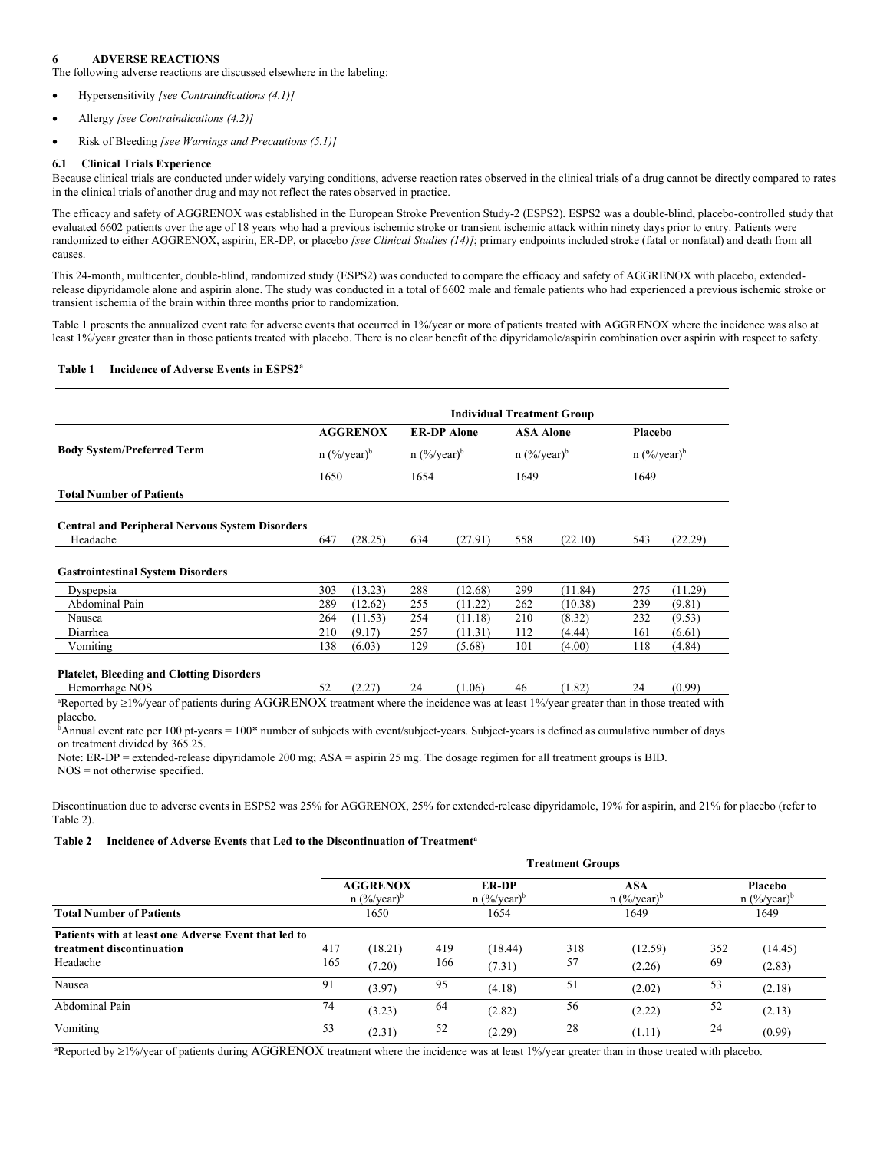## 6 ADVERSE REACTIONS

The following adverse reactions are discussed elsewhere in the labeling:

- Hypersensitivity [see Contraindications (4.1)]
- Allergy [see Contraindications (4.2)]
- Risk of Bleeding [see Warnings and Precautions (5.1)]

## 6.1 Clinical Trials Experience

Because clinical trials are conducted under widely varying conditions, adverse reaction rates observed in the clinical trials of a drug cannot be directly compared to rates in the clinical trials of another drug and may not reflect the rates observed in practice.

The efficacy and safety of AGGRENOX was established in the European Stroke Prevention Study-2 (ESPS2). ESPS2 was a double-blind, placebo-controlled study that evaluated 6602 patients over the age of 18 years who had a previous ischemic stroke or transient ischemic attack within ninety days prior to entry. Patients were randomized to either AGGRENOX, aspirin, ER-DP, or placebo [see Clinical Studies (14)]; primary endpoints included stroke (fatal or nonfatal) and death from all causes.

This 24-month, multicenter, double-blind, randomized study (ESPS2) was conducted to compare the efficacy and safety of AGGRENOX with placebo, extendedrelease dipyridamole alone and aspirin alone. The study was conducted in a total of 6602 male and female patients who had experienced a previous ischemic stroke or transient ischemia of the brain within three months prior to randomization.

Table 1 presents the annualized event rate for adverse events that occurred in 1%/year or more of patients treated with AGGRENOX where the incidence was also at least 1%/year greater than in those patients treated with placebo. There is no clear benefit of the dipyridamole/aspirin combination over aspirin with respect to safety.

# Table 1 Incidence of Adverse Events in ESPS2<sup>a</sup>

|                                                        | <b>Individual Treatment Group</b> |                                   |     |                                                 |     |                                               |     |                                             |  |  |
|--------------------------------------------------------|-----------------------------------|-----------------------------------|-----|-------------------------------------------------|-----|-----------------------------------------------|-----|---------------------------------------------|--|--|
| <b>Body System/Preferred Term</b>                      |                                   | <b>AGGRENOX</b><br>$n (%/year)^b$ |     | <b>ER-DP</b> Alone<br>$n$ (%/year) <sup>b</sup> |     | <b>ASA Alone</b><br>$n$ (%/year) <sup>b</sup> |     | <b>Placebo</b><br>$n$ (%/year) <sup>b</sup> |  |  |
|                                                        |                                   |                                   |     |                                                 |     |                                               |     |                                             |  |  |
| <b>Total Number of Patients</b>                        |                                   |                                   |     |                                                 |     |                                               |     |                                             |  |  |
| <b>Central and Peripheral Nervous System Disorders</b> |                                   |                                   |     |                                                 |     |                                               |     |                                             |  |  |
| Headache                                               | 647                               | (28.25)                           | 634 | (27.91)                                         | 558 | (22.10)                                       | 543 | (22.29)                                     |  |  |
| <b>Gastrointestinal System Disorders</b>               |                                   |                                   |     |                                                 |     |                                               |     |                                             |  |  |
| Dyspepsia                                              | 303                               | (13.23)                           | 288 | (12.68)                                         | 299 | (11.84)                                       | 275 | (11.29)                                     |  |  |
| Abdominal Pain                                         | 289                               | (12.62)                           | 255 | (11.22)                                         | 262 | (10.38)                                       | 239 | (9.81)                                      |  |  |
| Nausea                                                 | 264                               | (11.53)                           | 254 | (11.18)                                         | 210 | (8.32)                                        | 232 | (9.53)                                      |  |  |
| Diarrhea                                               | 210                               | (9.17)                            | 257 | (11.31)                                         | 112 | (4.44)                                        | 161 | (6.61)                                      |  |  |
| Vomiting                                               | 138                               | (6.03)                            | 129 | (5.68)                                          | 101 | (4.00)                                        | 118 | (4.84)                                      |  |  |
| <b>Platelet, Bleeding and Clotting Disorders</b>       |                                   |                                   |     |                                                 |     |                                               |     |                                             |  |  |
| Hemorrhage NOS                                         | 52                                | (2.27)                            | 24  | (1.06)                                          | 46  | (1.82)                                        | 24  | (0.99)                                      |  |  |

aReported by ≥1%/year of patients during AGGRENOX treatment where the incidence was at least 1%/year greater than in those treated with placebo.

<sup>b</sup>Annual event rate per 100 pt-years = 100\* number of subjects with event/subject-years. Subject-years is defined as cumulative number of days on treatment divided by 365.25.

Note: ER-DP = extended-release dipyridamole 200 mg; ASA = aspirin 25 mg. The dosage regimen for all treatment groups is BID.

NOS = not otherwise specified.

Discontinuation due to adverse events in ESPS2 was 25% for AGGRENOX, 25% for extended-release dipyridamole, 19% for aspirin, and 21% for placebo (refer to Table 2).

#### Table 2 Incidence of Adverse Events that Led to the Discontinuation of Treatment<sup>a</sup>

|                                                                                               | <b>Treatment Groups</b>                      |                  |                                           |                  |                                  |                  |                                      |                  |  |
|-----------------------------------------------------------------------------------------------|----------------------------------------------|------------------|-------------------------------------------|------------------|----------------------------------|------------------|--------------------------------------|------------------|--|
|                                                                                               | <b>AGGRENOX</b><br>$n$ (%/year) <sup>b</sup> |                  | <b>ER-DP</b><br>$n$ (%/year) <sup>b</sup> |                  | ASA<br>$n$ (%/year) <sup>b</sup> |                  | Placebo<br>$n$ (%/year) <sup>b</sup> |                  |  |
| <b>Total Number of Patients</b>                                                               |                                              | 1650             |                                           | 1654             |                                  | 1649             |                                      | 1649             |  |
| Patients with at least one Adverse Event that led to<br>treatment discontinuation<br>Headache | 417<br>165                                   | (18.21)          | 419<br>166                                | (18.44)          | 318<br>57                        | (12.59)          | 352<br>69                            | (14.45)          |  |
| Nausea                                                                                        | 91                                           | (7.20)<br>(3.97) | 95                                        | (7.31)<br>(4.18) | 51                               | (2.26)<br>(2.02) | 53                                   | (2.83)<br>(2.18) |  |
| Abdominal Pain                                                                                | 74                                           | (3.23)           | 64                                        | (2.82)           | 56                               | (2.22)           | 52                                   | (2.13)           |  |
| Vomiting                                                                                      | 53                                           | (2.31)           | 52                                        | (2.29)           | 28                               | (1.11)           | 24                                   | (0.99)           |  |

aReported by 1%/year of patients during AGGRENOX treatment where the incidence was at least 1%/year greater than in those treated with placebo.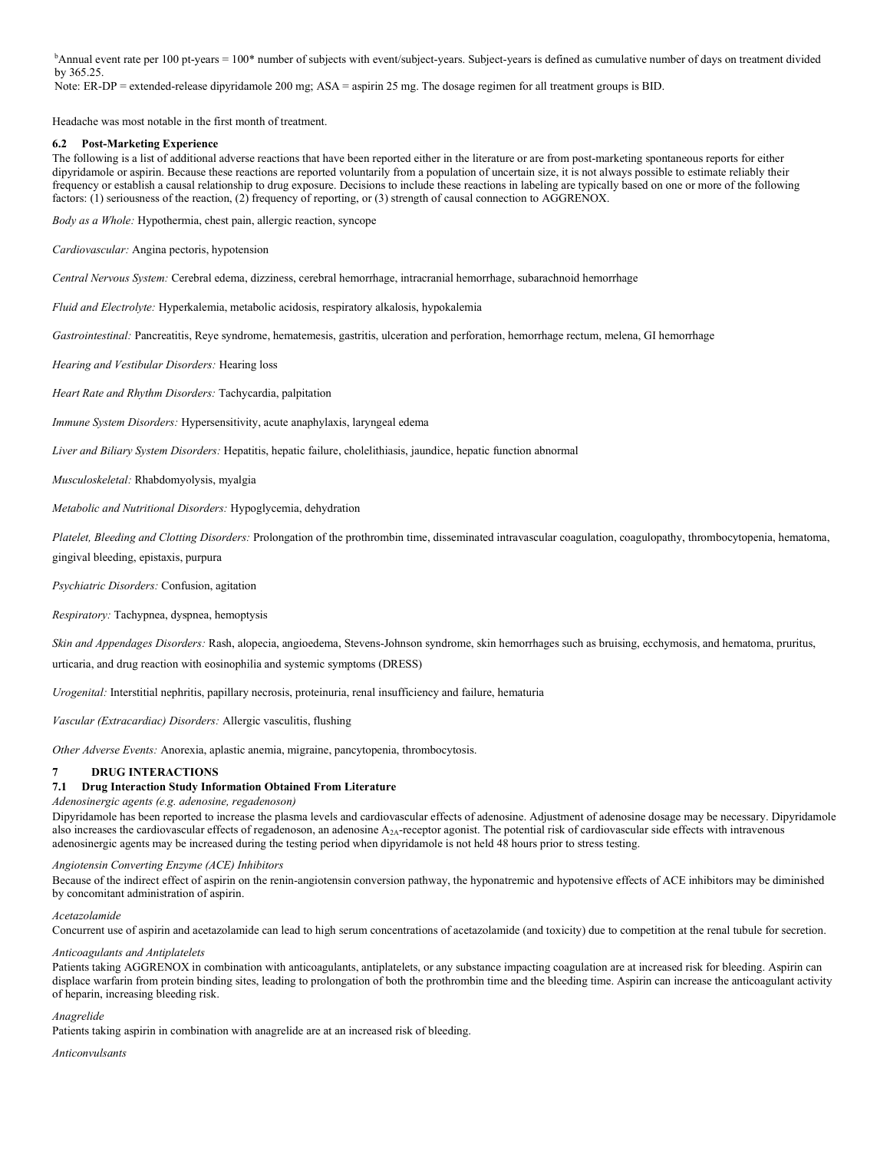<sup>b</sup>Annual event rate per 100 pt-years = 100\* number of subjects with event/subject-years. Subject-years is defined as cumulative number of days on treatment divided by 365.25.

Note: ER-DP = extended-release dipyridamole 200 mg; ASA = aspirin 25 mg. The dosage regimen for all treatment groups is BID.

Headache was most notable in the first month of treatment.

# 6.2 Post-Marketing Experience

The following is a list of additional adverse reactions that have been reported either in the literature or are from post-marketing spontaneous reports for either dipyridamole or aspirin. Because these reactions are reported voluntarily from a population of uncertain size, it is not always possible to estimate reliably their frequency or establish a causal relationship to drug exposure. Decisions to include these reactions in labeling are typically based on one or more of the following factors: (1) seriousness of the reaction, (2) frequency of reporting, or (3) strength of causal connection to AGGRENOX.

Body as a Whole: Hypothermia, chest pain, allergic reaction, syncope

Cardiovascular: Angina pectoris, hypotension

Central Nervous System: Cerebral edema, dizziness, cerebral hemorrhage, intracranial hemorrhage, subarachnoid hemorrhage

Fluid and Electrolyte: Hyperkalemia, metabolic acidosis, respiratory alkalosis, hypokalemia

Gastrointestinal: Pancreatitis, Reye syndrome, hematemesis, gastritis, ulceration and perforation, hemorrhage rectum, melena, GI hemorrhage

Hearing and Vestibular Disorders: Hearing loss

Heart Rate and Rhythm Disorders: Tachycardia, palpitation

Immune System Disorders: Hypersensitivity, acute anaphylaxis, laryngeal edema

Liver and Biliary System Disorders: Hepatitis, hepatic failure, cholelithiasis, jaundice, hepatic function abnormal

Musculoskeletal: Rhabdomyolysis, myalgia

Metabolic and Nutritional Disorders: Hypoglycemia, dehydration

Platelet, Bleeding and Clotting Disorders: Prolongation of the prothrombin time, disseminated intravascular coagulation, coagulopathy, thrombocytopenia, hematoma, gingival bleeding, epistaxis, purpura

Psychiatric Disorders: Confusion, agitation

Respiratory: Tachypnea, dyspnea, hemoptysis

Skin and Appendages Disorders: Rash, alopecia, angioedema, Stevens-Johnson syndrome, skin hemorrhages such as bruising, ecchymosis, and hematoma, pruritus, urticaria, and drug reaction with eosinophilia and systemic symptoms (DRESS)

Urogenital: Interstitial nephritis, papillary necrosis, proteinuria, renal insufficiency and failure, hematuria

Vascular (Extracardiac) Disorders: Allergic vasculitis, flushing

Other Adverse Events: Anorexia, aplastic anemia, migraine, pancytopenia, thrombocytosis.

## 7 DRUG INTERACTIONS

# 7.1 Drug Interaction Study Information Obtained From Literature

## Adenosinergic agents (e.g. adenosine, regadenoson)

Dipyridamole has been reported to increase the plasma levels and cardiovascular effects of adenosine. Adjustment of adenosine dosage may be necessary. Dipyridamole also increases the cardiovascular effects of regadenoson, an adenosine  $A_{2A}$ -receptor agonist. The potential risk of cardiovascular side effects with intravenous adenosinergic agents may be increased during the testing period when dipyridamole is not held 48 hours prior to stress testing.

## Angiotensin Converting Enzyme (ACE) Inhibitors

Because of the indirect effect of aspirin on the renin-angiotensin conversion pathway, the hyponatremic and hypotensive effects of ACE inhibitors may be diminished by concomitant administration of aspirin.

Acetazolamide

Concurrent use of aspirin and acetazolamide can lead to high serum concentrations of acetazolamide (and toxicity) due to competition at the renal tubule for secretion.

# Anticoagulants and Antiplatelets

Patients taking AGGRENOX in combination with anticoagulants, antiplatelets, or any substance impacting coagulation are at increased risk for bleeding. Aspirin can displace warfarin from protein binding sites, leading to prolongation of both the prothrombin time and the bleeding time. Aspirin can increase the anticoagulant activity of heparin, increasing bleeding risk.

## Anagrelide

Patients taking aspirin in combination with anagrelide are at an increased risk of bleeding.

Anticonvulsants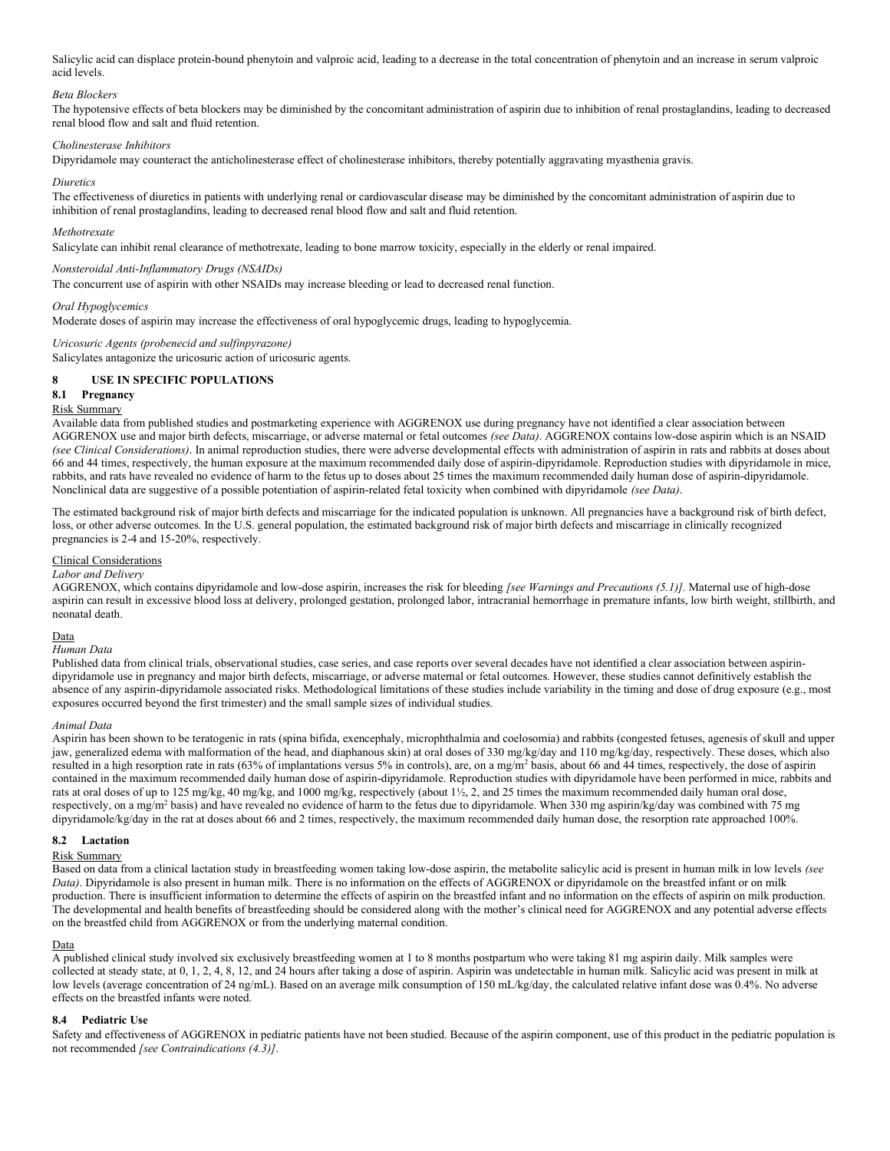Salicylic acid can displace protein-bound phenytoin and valproic acid, leading to a decrease in the total concentration of phenytoin and an increase in serum valproic acid levels.

## Beta Blockers

The hypotensive effects of beta blockers may be diminished by the concomitant administration of aspirin due to inhibition of renal prostaglandins, leading to decreased renal blood flow and salt and fluid retention.

# Cholinesterase Inhibitors

Dipyridamole may counteract the anticholinesterase effect of cholinesterase inhibitors, thereby potentially aggravating myasthenia gravis.

### Diuretics

The effectiveness of diuretics in patients with underlying renal or cardiovascular disease may be diminished by the concomitant administration of aspirin due to inhibition of renal prostaglandins, leading to decreased renal blood flow and salt and fluid retention.

## Methotrexate

Salicylate can inhibit renal clearance of methotrexate, leading to bone marrow toxicity, especially in the elderly or renal impaired.

# Nonsteroidal Anti-Inflammatory Drugs (NSAIDs)

The concurrent use of aspirin with other NSAIDs may increase bleeding or lead to decreased renal function.

#### Oral Hypoglycemics

Moderate doses of aspirin may increase the effectiveness of oral hypoglycemic drugs, leading to hypoglycemia.

# Uricosuric Agents (probenecid and sulfinpyrazone)

Salicylates antagonize the uricosuric action of uricosuric agents.

# 8 USE IN SPECIFIC POPULATIONS

# 8.1 Pregnancy

# Risk Summary

Available data from published studies and postmarketing experience with AGGRENOX use during pregnancy have not identified a clear association between AGGRENOX use and major birth defects, miscarriage, or adverse maternal or fetal outcomes (see Data). AGGRENOX contains low-dose aspirin which is an NSAID (see Clinical Considerations). In animal reproduction studies, there were adverse developmental effects with administration of aspirin in rats and rabbits at doses about 66 and 44 times, respectively, the human exposure at the maximum recommended daily dose of aspirin-dipyridamole. Reproduction studies with dipyridamole in mice, rabbits, and rats have revealed no evidence of harm to the fetus up to doses about 25 times the maximum recommended daily human dose of aspirin-dipyridamole. Nonclinical data are suggestive of a possible potentiation of aspirin-related fetal toxicity when combined with dipyridamole (see Data).

The estimated background risk of major birth defects and miscarriage for the indicated population is unknown. All pregnancies have a background risk of birth defect, loss, or other adverse outcomes. In the U.S. general population, the estimated background risk of major birth defects and miscarriage in clinically recognized pregnancies is 2-4 and 15-20%, respectively.

## Clinical Considerations

### Labor and Delivery

AGGRENOX, which contains dipyridamole and low-dose aspirin, increases the risk for bleeding [see Warnings and Precautions (5.1)]. Maternal use of high-dose aspirin can result in excessive blood loss at delivery, prolonged gestation, prolonged labor, intracranial hemorrhage in premature infants, low birth weight, stillbirth, and neonatal death.

## Data

#### Human Data

Published data from clinical trials, observational studies, case series, and case reports over several decades have not identified a clear association between aspirindipyridamole use in pregnancy and major birth defects, miscarriage, or adverse maternal or fetal outcomes. However, these studies cannot definitively establish the absence of any aspirin-dipyridamole associated risks. Methodological limitations of these studies include variability in the timing and dose of drug exposure (e.g., most exposures occurred beyond the first trimester) and the small sample sizes of individual studies.

## Animal Data

Aspirin has been shown to be teratogenic in rats (spina bifida, exencephaly, microphthalmia and coelosomia) and rabbits (congested fetuses, agenesis of skull and upper jaw, generalized edema with malformation of the head, and diaphanous skin) at oral doses of 330 mg/kg/day and 110 mg/kg/day, respectively. These doses, which also resulted in a high resorption rate in rats (63% of implantations versus 5% in controls), are, on a mg/m<sup>2</sup> basis, about 66 and 44 times, respectively, the dose of aspirin contained in the maximum recommended daily human dose of aspirin-dipyridamole. Reproduction studies with dipyridamole have been performed in mice, rabbits and rats at oral doses of up to 125 mg/kg, 40 mg/kg, and 1000 mg/kg, respectively (about 1½, 2, and 25 times the maximum recommended daily human oral dose, respectively, on a mg/m<sup>2</sup> basis) and have revealed no evidence of harm to the fetus due to dipyridamole. When 330 mg aspirin/kg/day was combined with 75 mg dipyridamole/kg/day in the rat at doses about 66 and 2 times, respectively, the maximum recommended daily human dose, the resorption rate approached 100%.

# 8.2 Lactation

# Risk Summary

Based on data from a clinical lactation study in breastfeeding women taking low-dose aspirin, the metabolite salicylic acid is present in human milk in low levels (see Data). Dipyridamole is also present in human milk. There is no information on the effects of AGGRENOX or dipyridamole on the breastfed infant or on milk production. There is insufficient information to determine the effects of aspirin on the breastfed infant and no information on the effects of aspirin on milk production. The developmental and health benefits of breastfeeding should be considered along with the mother's clinical need for AGGRENOX and any potential adverse effects on the breastfed child from AGGRENOX or from the underlying maternal condition.

## Data

A published clinical study involved six exclusively breastfeeding women at 1 to 8 months postpartum who were taking 81 mg aspirin daily. Milk samples were collected at steady state, at 0, 1, 2, 4, 8, 12, and 24 hours after taking a dose of aspirin. Aspirin was undetectable in human milk. Salicylic acid was present in milk at low levels (average concentration of 24 ng/mL). Based on an average milk consumption of 150 mL/kg/day, the calculated relative infant dose was 0.4%. No adverse effects on the breastfed infants were noted.

## 8.4 Pediatric Use

Safety and effectiveness of AGGRENOX in pediatric patients have not been studied. Because of the aspirin component, use of this product in the pediatric population is not recommended [see Contraindications (4.3)].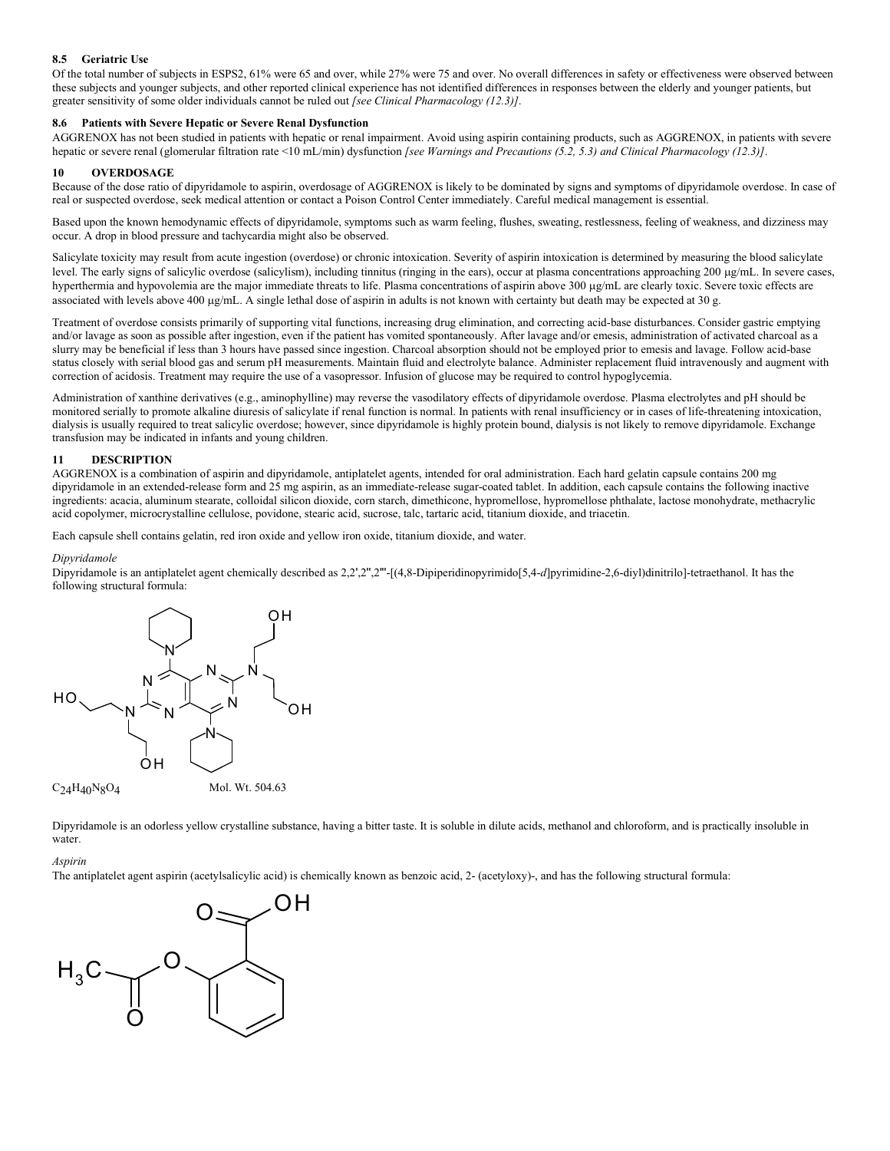# 8.5 Geriatric Use

Of the total number of subjects in ESPS2, 61% were 65 and over, while 27% were 75 and over. No overall differences in safety or effectiveness were observed between these subjects and younger subjects, and other reported clinical experience has not identified differences in responses between the elderly and younger patients, but greater sensitivity of some older individuals cannot be ruled out [see Clinical Pharmacology (12.3)].

# 8.6 Patients with Severe Hepatic or Severe Renal Dysfunction

AGGRENOX has not been studied in patients with hepatic or renal impairment. Avoid using aspirin containing products, such as AGGRENOX, in patients with severe hepatic or severe renal (glomerular filtration rate <10 mL/min) dysfunction [see Warnings and Precautions (5.2, 5.3) and Clinical Pharmacology (12.3)].

# 10 OVERDOSAGE

Because of the dose ratio of dipyridamole to aspirin, overdosage of AGGRENOX is likely to be dominated by signs and symptoms of dipyridamole overdose. In case of real or suspected overdose, seek medical attention or contact a Poison Control Center immediately. Careful medical management is essential.

Based upon the known hemodynamic effects of dipyridamole, symptoms such as warm feeling, flushes, sweating, restlessness, feeling of weakness, and dizziness may occur. A drop in blood pressure and tachycardia might also be observed.

Salicylate toxicity may result from acute ingestion (overdose) or chronic intoxication. Severity of aspirin intoxication is determined by measuring the blood salicylate level. The early signs of salicylic overdose (salicylism), including tinnitus (ringing in the ears), occur at plasma concentrations approaching 200 g/mL. In severe cases, hyperthermia and hypovolemia are the major immediate threats to life. Plasma concentrations of aspirin above 300 µg/mL are clearly toxic. Severe toxic effects are associated with levels above 400  $\mu$ g/mL. A single lethal dose of aspirin in adults is not known with certainty but death may be expected at 30 g.

Treatment of overdose consists primarily of supporting vital functions, increasing drug elimination, and correcting acid-base disturbances. Consider gastric emptying and/or lavage as soon as possible after ingestion, even if the patient has vomited spontaneously. After lavage and/or emesis, administration of activated charcoal as a slurry may be beneficial if less than 3 hours have passed since ingestion. Charcoal absorption should not be employed prior to emesis and lavage. Follow acid-base status closely with serial blood gas and serum pH measurements. Maintain fluid and electrolyte balance. Administer replacement fluid intravenously and augment with correction of acidosis. Treatment may require the use of a vasopressor. Infusion of glucose may be required to control hypoglycemia.

Administration of xanthine derivatives (e.g., aminophylline) may reverse the vasodilatory effects of dipyridamole overdose. Plasma electrolytes and pH should be monitored serially to promote alkaline diuresis of salicylate if renal function is normal. In patients with renal insufficiency or in cases of life-threatening intoxication, dialysis is usually required to treat salicylic overdose; however, since dipyridamole is highly protein bound, dialysis is not likely to remove dipyridamole. Exchange transfusion may be indicated in infants and young children.

# 11 DESCRIPTION

AGGRENOX is a combination of aspirin and dipyridamole, antiplatelet agents, intended for oral administration. Each hard gelatin capsule contains 200 mg dipyridamole in an extended-release form and 25 mg aspirin, as an immediate-release sugar-coated tablet. In addition, each capsule contains the following inactive ingredients: acacia, aluminum stearate, colloidal silicon dioxide, corn starch, dimethicone, hypromellose, hypromellose phthalate, lactose monohydrate, methacrylic acid copolymer, microcrystalline cellulose, povidone, stearic acid, sucrose, talc, tartaric acid, titanium dioxide, and triacetin.

Each capsule shell contains gelatin, red iron oxide and yellow iron oxide, titanium dioxide, and water.

## Dipyridamole

Dipyridamole is an antiplatelet agent chemically described as 2,2',2",2"'-[(4,8-Dipiperidinopyrimido[5,4-d]pyrimidine-2,6-diyl)dinitrilo]-tetraethanol. It has the following structural formula:



C24H40N8O4

Dipyridamole is an odorless yellow crystalline substance, having a bitter taste. It is soluble in dilute acids, methanol and chloroform, and is practically insoluble in water.

#### Aspirin

The antiplatelet agent aspirin (acetylsalicylic acid) is chemically known as benzoic acid, 2- (acetyloxy)-, and has the following structural formula:

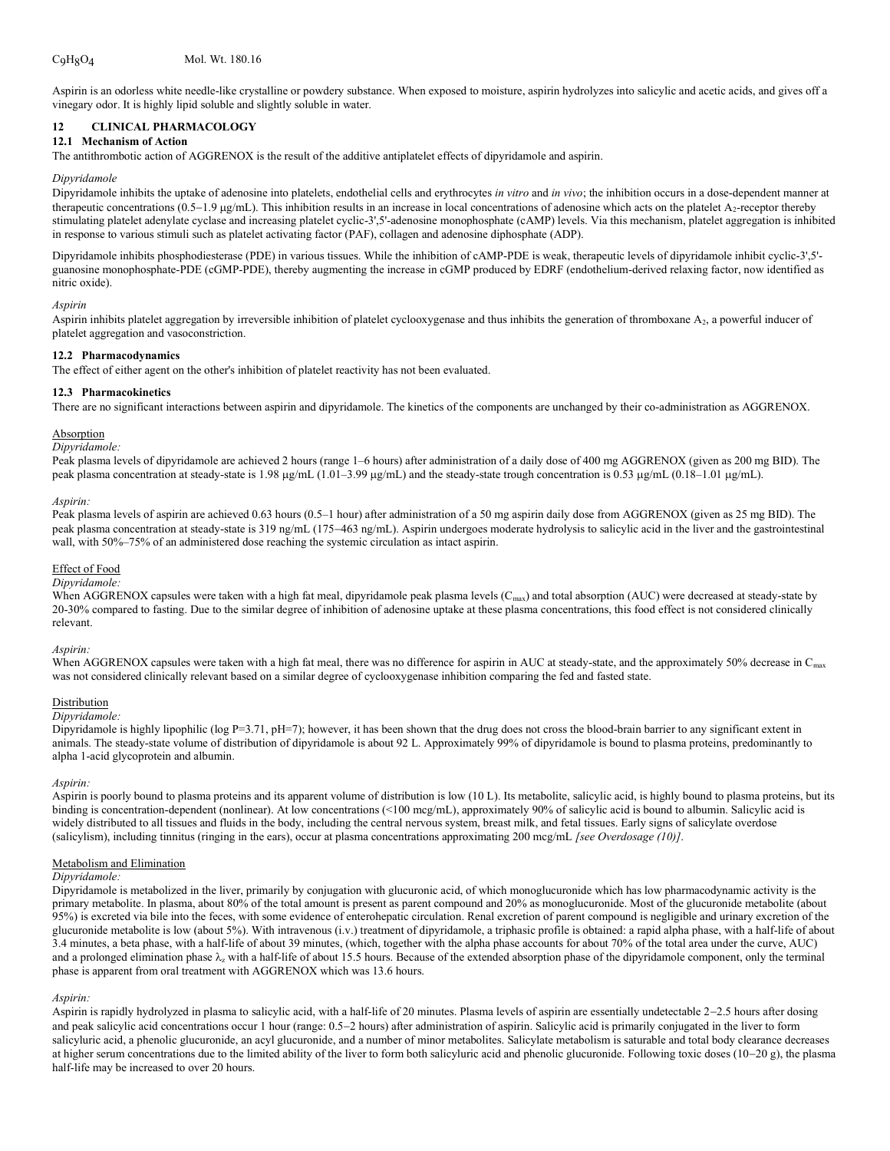Aspirin is an odorless white needle-like crystalline or powdery substance. When exposed to moisture, aspirin hydrolyzes into salicylic and acetic acids, and gives off a vinegary odor. It is highly lipid soluble and slightly soluble in water.

# 12 CLINICAL PHARMACOLOGY

# 12.1 Mechanism of Action

The antithrombotic action of AGGRENOX is the result of the additive antiplatelet effects of dipyridamole and aspirin.

#### Dipyridamole

Dipyridamole inhibits the uptake of adenosine into platelets, endothelial cells and erythrocytes in vitro and in vivo; the inhibition occurs in a dose-dependent manner at therapeutic concentrations  $(0.5-1.9 \mu g/mL)$ . This inhibition results in an increase in local concentrations of adenosine which acts on the platelet  $A<sub>2</sub>$ -receptor thereby stimulating platelet adenylate cyclase and increasing platelet cyclic-3',5'-adenosine monophosphate (cAMP) levels. Via this mechanism, platelet aggregation is inhibited in response to various stimuli such as platelet activating factor (PAF), collagen and adenosine diphosphate (ADP).

Dipyridamole inhibits phosphodiesterase (PDE) in various tissues. While the inhibition of cAMP-PDE is weak, therapeutic levels of dipyridamole inhibit cyclic-3',5' guanosine monophosphate-PDE (cGMP-PDE), thereby augmenting the increase in cGMP produced by EDRF (endothelium-derived relaxing factor, now identified as nitric oxide).

#### Aspirin

Aspirin inhibits platelet aggregation by irreversible inhibition of platelet cyclooxygenase and thus inhibits the generation of thromboxane A<sub>2</sub>, a powerful inducer of platelet aggregation and vasoconstriction.

#### 12.2 Pharmacodynamics

The effect of either agent on the other's inhibition of platelet reactivity has not been evaluated.

## 12.3 Pharmacokinetics

There are no significant interactions between aspirin and dipyridamole. The kinetics of the components are unchanged by their co-administration as AGGRENOX.

### Absorption

#### Dipyridamole:

Peak plasma levels of dipyridamole are achieved 2 hours (range 1–6 hours) after administration of a daily dose of 400 mg AGGRENOX (given as 200 mg BID). The peak plasma concentration at steady-state is 1.98  $\mu$ g/mL (1.01–3.99  $\mu$ g/mL) and the steady-state trough concentration is 0.53  $\mu$ g/mL (0.18–1.01  $\mu$ g/mL).

#### Aspirin:

Peak plasma levels of aspirin are achieved 0.63 hours (0.5–1 hour) after administration of a 50 mg aspirin daily dose from AGGRENOX (given as 25 mg BID). The peak plasma concentration at steady-state is 319 ng/mL (175-463 ng/mL). Aspirin undergoes moderate hydrolysis to salicylic acid in the liver and the gastrointestinal wall, with 50%–75% of an administered dose reaching the systemic circulation as intact aspirin.

#### Effect of Food

#### Dipyridamole:

When AGGRENOX capsules were taken with a high fat meal, dipyridamole peak plasma levels  $(C_{\text{max}})$  and total absorption (AUC) were decreased at steady-state by 20-30% compared to fasting. Due to the similar degree of inhibition of adenosine uptake at these plasma concentrations, this food effect is not considered clinically relevant.

#### Aspirin:

When AGGRENOX capsules were taken with a high fat meal, there was no difference for aspirin in AUC at steady-state, and the approximately 50% decrease in C<sub>max</sub> was not considered clinically relevant based on a similar degree of cyclooxygenase inhibition comparing the fed and fasted state.

### Distribution

#### Dipyridamole:

Dipyridamole is highly lipophilic (log  $P=3.71$ ,  $pH=7$ ); however, it has been shown that the drug does not cross the blood-brain barrier to any significant extent in animals. The steady-state volume of distribution of dipyridamole is about 92 L. Approximately 99% of dipyridamole is bound to plasma proteins, predominantly to alpha 1-acid glycoprotein and albumin.

#### Aspirin:

Aspirin is poorly bound to plasma proteins and its apparent volume of distribution is low (10 L). Its metabolite, salicylic acid, is highly bound to plasma proteins, but its binding is concentration-dependent (nonlinear). At low concentrations (<100 mcg/mL), approximately 90% of salicylic acid is bound to albumin. Salicylic acid is widely distributed to all tissues and fluids in the body, including the central nervous system, breast milk, and fetal tissues. Early signs of salicylate overdose (salicylism), including tinnitus (ringing in the ears), occur at plasma concentrations approximating 200 mcg/mL [see Overdosage (10)].

#### Metabolism and Elimination

#### Dipyridamole:

Dipyridamole is metabolized in the liver, primarily by conjugation with glucuronic acid, of which monoglucuronide which has low pharmacodynamic activity is the primary metabolite. In plasma, about 80% of the total amount is present as parent compound and 20% as monoglucuronide. Most of the glucuronide metabolite (about 95%) is excreted via bile into the feces, with some evidence of enterohepatic circulation. Renal excretion of parent compound is negligible and urinary excretion of the glucuronide metabolite is low (about 5%). With intravenous (i.v.) treatment of dipyridamole, a triphasic profile is obtained: a rapid alpha phase, with a half-life of about 3.4 minutes, a beta phase, with a half-life of about 39 minutes, (which, together with the alpha phase accounts for about 70% of the total area under the curve, AUC) and a prolonged elimination phase  $\lambda_z$  with a half-life of about 15.5 hours. Because of the extended absorption phase of the dipyridamole component, only the terminal phase is apparent from oral treatment with AGGRENOX which was 13.6 hours.

#### Aspirin:

Aspirin is rapidly hydrolyzed in plasma to salicylic acid, with a half-life of 20 minutes. Plasma levels of aspirin are essentially undetectable 2-2.5 hours after dosing and peak salicylic acid concentrations occur 1 hour (range: 0.52 hours) after administration of aspirin. Salicylic acid is primarily conjugated in the liver to form salicyluric acid, a phenolic glucuronide, an acyl glucuronide, and a number of minor metabolites. Salicylate metabolism is saturable and total body clearance decreases at higher serum concentrations due to the limited ability of the liver to form both salicyluric acid and phenolic glucuronide. Following toxic doses  $(10-20 g)$ , the plasma half-life may be increased to over 20 hours.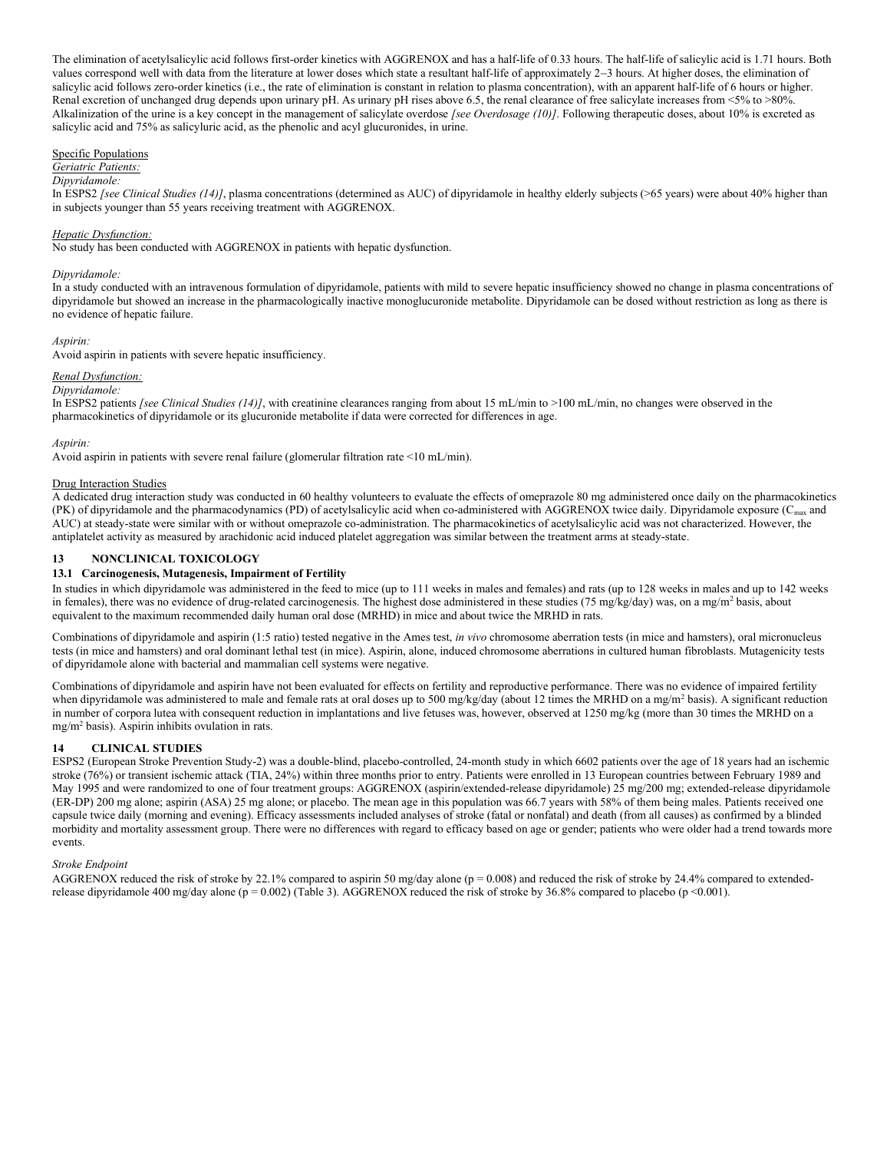The elimination of acetylsalicylic acid follows first-order kinetics with AGGRENOX and has a half-life of 0.33 hours. The half-life of salicylic acid is 1.71 hours. Both values correspond well with data from the literature at lower doses which state a resultant half-life of approximately 2-3 hours. At higher doses, the elimination of salicylic acid follows zero-order kinetics (i.e., the rate of elimination is constant in relation to plasma concentration), with an apparent half-life of 6 hours or higher. Renal excretion of unchanged drug depends upon urinary pH. As urinary pH rises above 6.5, the renal clearance of free salicylate increases from <5% to >80%. Alkalinization of the urine is a key concept in the management of salicylate overdose [see Overdosage (10)]. Following therapeutic doses, about 10% is excreted as salicylic acid and 75% as salicyluric acid, as the phenolic and acyl glucuronides, in urine.

Specific Populations

#### Geriatric Patients: Dipyridamole:

In ESPS2 [see Clinical Studies (14)], plasma concentrations (determined as AUC) of dipyridamole in healthy elderly subjects (>65 years) were about 40% higher than in subjects younger than 55 years receiving treatment with AGGRENOX.

# Hepatic Dysfunction:

No study has been conducted with AGGRENOX in patients with hepatic dysfunction.

## Dipyridamole:

In a study conducted with an intravenous formulation of dipyridamole, patients with mild to severe hepatic insufficiency showed no change in plasma concentrations of dipyridamole but showed an increase in the pharmacologically inactive monoglucuronide metabolite. Dipyridamole can be dosed without restriction as long as there is no evidence of hepatic failure.

## Aspirin:

Avoid aspirin in patients with severe hepatic insufficiency.

# Renal Dysfunction:

## Dipyridamole:

In ESPS2 patients *[see Clinical Studies (14)]*, with creatinine clearances ranging from about 15 mL/min to >100 mL/min, no changes were observed in the pharmacokinetics of dipyridamole or its glucuronide metabolite if data were corrected for differences in age.

## Aspirin:

Avoid aspirin in patients with severe renal failure (glomerular filtration rate <10 mL/min).

## Drug Interaction Studies

A dedicated drug interaction study was conducted in 60 healthy volunteers to evaluate the effects of omeprazole 80 mg administered once daily on the pharmacokinetics (PK) of dipyridamole and the pharmacodynamics (PD) of acetylsalicylic acid when co-administered with AGGRENOX twice daily. Dipyridamole exposure (Cmax and AUC) at steady-state were similar with or without omeprazole co-administration. The pharmacokinetics of acetylsalicylic acid was not characterized. However, the antiplatelet activity as measured by arachidonic acid induced platelet aggregation was similar between the treatment arms at steady-state.

# 13 NONCLINICAL TOXICOLOGY

## 13.1 Carcinogenesis, Mutagenesis, Impairment of Fertility

In studies in which dipyridamole was administered in the feed to mice (up to 111 weeks in males and females) and rats (up to 128 weeks in males and up to 142 weeks in females), there was no evidence of drug-related carcinogenesis. The highest dose administered in these studies (75 mg/kg/day) was, on a mg/m<sup>2</sup> basis, about equivalent to the maximum recommended daily human oral dose (MRHD) in mice and about twice the MRHD in rats.

Combinations of dipyridamole and aspirin (1:5 ratio) tested negative in the Ames test, in vivo chromosome aberration tests (in mice and hamsters), oral micronucleus tests (in mice and hamsters) and oral dominant lethal test (in mice). Aspirin, alone, induced chromosome aberrations in cultured human fibroblasts. Mutagenicity tests of dipyridamole alone with bacterial and mammalian cell systems were negative.

Combinations of dipyridamole and aspirin have not been evaluated for effects on fertility and reproductive performance. There was no evidence of impaired fertility when dipyridamole was administered to male and female rats at oral doses up to 500 mg/kg/day (about 12 times the MRHD on a mg/m<sup>2</sup> basis). A significant reduction in number of corpora lutea with consequent reduction in implantations and live fetuses was, however, observed at 1250 mg/kg (more than 30 times the MRHD on a mg/m<sup>2</sup> basis). Aspirin inhibits ovulation in rats.

## 14 CLINICAL STUDIES

ESPS2 (European Stroke Prevention Study-2) was a double-blind, placebo-controlled, 24-month study in which 6602 patients over the age of 18 years had an ischemic stroke (76%) or transient ischemic attack (TIA, 24%) within three months prior to entry. Patients were enrolled in 13 European countries between February 1989 and May 1995 and were randomized to one of four treatment groups: AGGRENOX (aspirin/extended-release dipyridamole) 25 mg/200 mg; extended-release dipyridamole (ER-DP) 200 mg alone; aspirin (ASA) 25 mg alone; or placebo. The mean age in this population was 66.7 years with 58% of them being males. Patients received one capsule twice daily (morning and evening). Efficacy assessments included analyses of stroke (fatal or nonfatal) and death (from all causes) as confirmed by a blinded morbidity and mortality assessment group. There were no differences with regard to efficacy based on age or gender; patients who were older had a trend towards more events.

# Stroke Endpoint

AGGRENOX reduced the risk of stroke by 22.1% compared to aspirin 50 mg/day alone (p = 0.008) and reduced the risk of stroke by 24.4% compared to extendedrelease dipyridamole 400 mg/day alone (p = 0.002) (Table 3). AGGRENOX reduced the risk of stroke by 36.8% compared to placebo (p <0.001).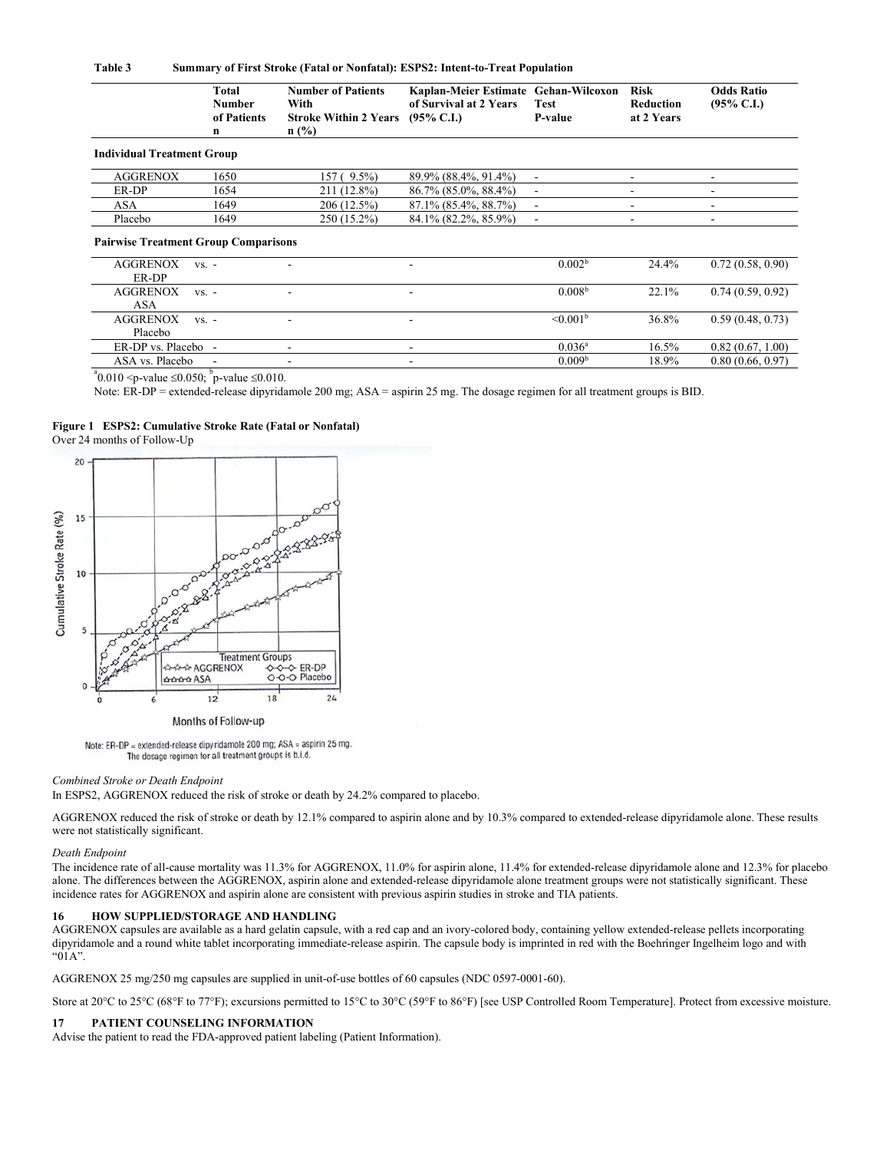#### Table 3 Summary of First Stroke (Fatal or Nonfatal): ESPS2: Intent-to-Treat Population

|                                             | Total<br><b>Number</b><br>of Patients<br>n | <b>Number of Patients</b><br>With<br><b>Stroke Within 2 Years</b><br>$n$ (%) | Kaplan-Meier Estimate Gehan-Wilcoxon<br>of Survival at 2 Years<br>$(95\% \text{ C.I.})$ | <b>Test</b><br>P-value   | <b>Risk</b><br><b>Reduction</b><br>at 2 Years | <b>Odds Ratio</b><br>$(95\% \text{ C.I.})$ |
|---------------------------------------------|--------------------------------------------|------------------------------------------------------------------------------|-----------------------------------------------------------------------------------------|--------------------------|-----------------------------------------------|--------------------------------------------|
| <b>Individual Treatment Group</b>           |                                            |                                                                              |                                                                                         |                          |                                               |                                            |
| <b>AGGRENOX</b>                             | 1650                                       | 157 (9.5%)                                                                   | 89.9% (88.4%, 91.4%)                                                                    | $\overline{\phantom{a}}$ |                                               |                                            |
| ER-DP                                       | 1654                                       | 211 (12.8%)                                                                  | 86.7% (85.0%, 88.4%)                                                                    | $\overline{\phantom{a}}$ |                                               |                                            |
| ASA                                         | 1649                                       | 206 (12.5%)                                                                  | 87.1% (85.4%, 88.7%)                                                                    | $\overline{\phantom{a}}$ |                                               |                                            |
| Placebo                                     | 1649                                       | 250 (15.2%)                                                                  | 84.1% (82.2%, 85.9%)                                                                    | ٠                        | ۰                                             | $\overline{\phantom{a}}$                   |
| <b>Pairwise Treatment Group Comparisons</b> |                                            |                                                                              |                                                                                         |                          |                                               |                                            |
| <b>AGGRENOX</b><br>ER-DP                    | $VS. -$                                    |                                                                              |                                                                                         | 0.002 <sup>b</sup>       | 24.4%                                         | 0.72(0.58, 0.90)                           |
| <b>AGGRENOX</b><br>ASA                      | $VS. -$                                    |                                                                              |                                                                                         | 0.008 <sup>b</sup>       | 22.1%                                         | 0.74(0.59, 0.92)                           |
| <b>AGGRENOX</b><br>Placebo                  | $VS. -$                                    |                                                                              |                                                                                         | $\leq 0.001^{\rm b}$     | 36.8%                                         | 0.59(0.48, 0.73)                           |
| ER-DP vs. Placebo -                         |                                            |                                                                              |                                                                                         | $0.036^{\rm a}$          | 16.5%                                         | 0.82(0.67, 1.00)                           |
| ASA vs. Placebo                             |                                            |                                                                              |                                                                                         | 0.009 <sup>b</sup>       | 18.9%                                         | 0.80(0.66, 0.97)                           |

 $^{\circ}0.010$  <p-value  $\leq 0.050$ ;  $^{\circ}$  p-value  $\leq 0.010$ .

Note: ER-DP = extended-release dipyridamole 200 mg; ASA = aspirin 25 mg. The dosage regimen for all treatment groups is BID.

#### Figure 1 ESPS2: Cumulative Stroke Rate (Fatal or Nonfatal) Over 24 months of Follow-Up





Months of Follow-up

Note: ER-DP = extended-release dipyridamole 200 mg; ASA = aspirin 25 mg. The dosage regimen for all treatment groups is b.i.d.

#### Combined Stroke or Death Endpoint

In ESPS2, AGGRENOX reduced the risk of stroke or death by 24.2% compared to placebo.

AGGRENOX reduced the risk of stroke or death by 12.1% compared to aspirin alone and by 10.3% compared to extended-release dipyridamole alone. These results were not statistically significant.

# Death Endpoint

The incidence rate of all-cause mortality was 11.3% for AGGRENOX, 11.0% for aspirin alone, 11.4% for extended-release dipyridamole alone and 12.3% for placebo alone. The differences between the AGGRENOX, aspirin alone and extended-release dipyridamole alone treatment groups were not statistically significant. These incidence rates for AGGRENOX and aspirin alone are consistent with previous aspirin studies in stroke and TIA patients.

#### 16 HOW SUPPLIED/STORAGE AND HANDLING

AGGRENOX capsules are available as a hard gelatin capsule, with a red cap and an ivory-colored body, containing yellow extended-release pellets incorporating dipyridamole and a round white tablet incorporating immediate-release aspirin. The capsule body is imprinted in red with the Boehringer Ingelheim logo and with "01A".

AGGRENOX 25 mg/250 mg capsules are supplied in unit-of-use bottles of 60 capsules (NDC 0597-0001-60).

Store at 20 $^{\circ}$ C to 25 $^{\circ}$ C (68 $^{\circ}$ F to 77 $^{\circ}$ F); excursions permitted to 15 $^{\circ}$ C to 30 $^{\circ}$ C (59 $^{\circ}$ F to 86 $^{\circ}$ F) [see USP Controlled Room Temperature]. Protect from excessive moisture.

### 17 PATIENT COUNSELING INFORMATION

Advise the patient to read the FDA-approved patient labeling (Patient Information).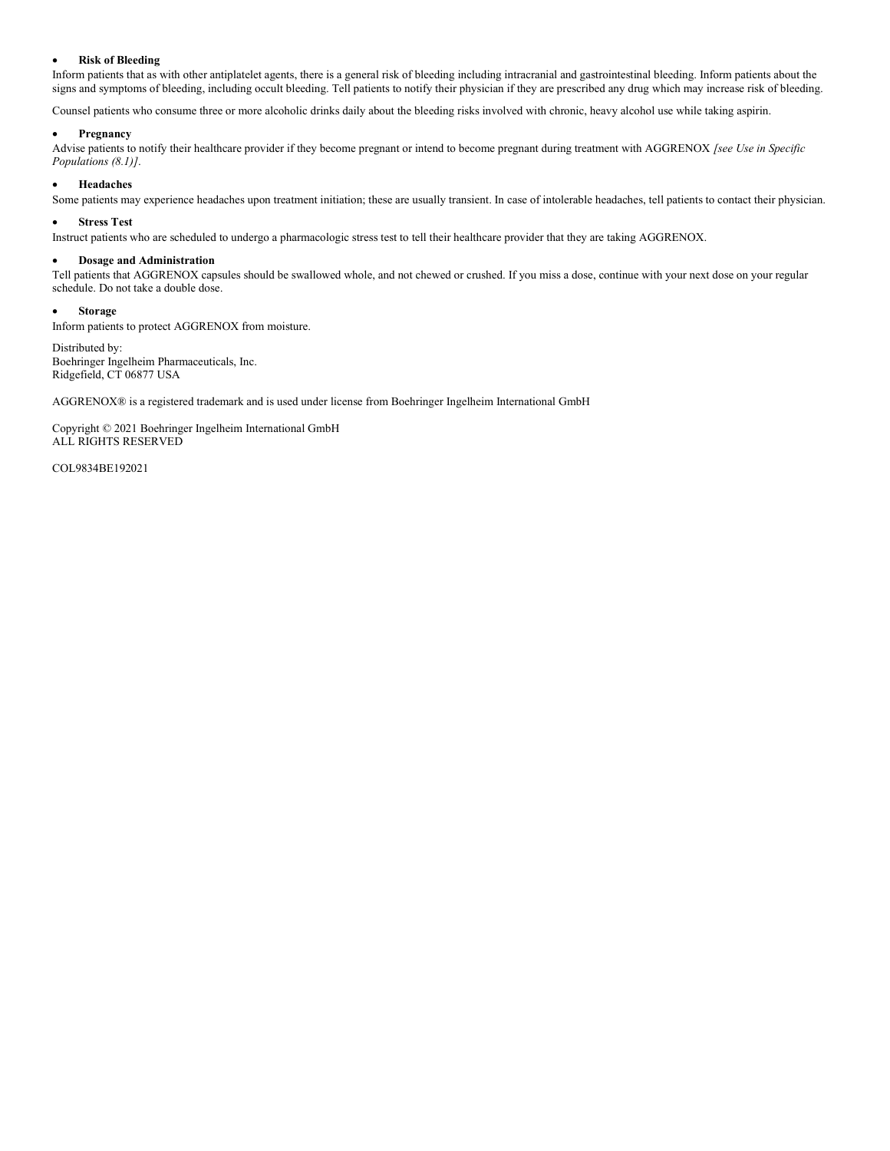# Risk of Bleeding

Inform patients that as with other antiplatelet agents, there is a general risk of bleeding including intracranial and gastrointestinal bleeding. Inform patients about the signs and symptoms of bleeding, including occult bleeding. Tell patients to notify their physician if they are prescribed any drug which may increase risk of bleeding.

Counsel patients who consume three or more alcoholic drinks daily about the bleeding risks involved with chronic, heavy alcohol use while taking aspirin.

# Pregnancy

Advise patients to notify their healthcare provider if they become pregnant or intend to become pregnant during treatment with AGGRENOX [see Use in Specific Populations (8.1)].

# Headaches

Some patients may experience headaches upon treatment initiation; these are usually transient. In case of intolerable headaches, tell patients to contact their physician.

# Stress Test

Instruct patients who are scheduled to undergo a pharmacologic stress test to tell their healthcare provider that they are taking AGGRENOX.

#### Dosage and Administration

Tell patients that AGGRENOX capsules should be swallowed whole, and not chewed or crushed. If you miss a dose, continue with your next dose on your regular schedule. Do not take a double dose.

# Storage

Inform patients to protect AGGRENOX from moisture.

Distributed by: Boehringer Ingelheim Pharmaceuticals, Inc. Ridgefield, CT 06877 USA

AGGRENOX® is a registered trademark and is used under license from Boehringer Ingelheim International GmbH

Copyright © 2021 Boehringer Ingelheim International GmbH ALL RIGHTS RESERVED

COL9834BE192021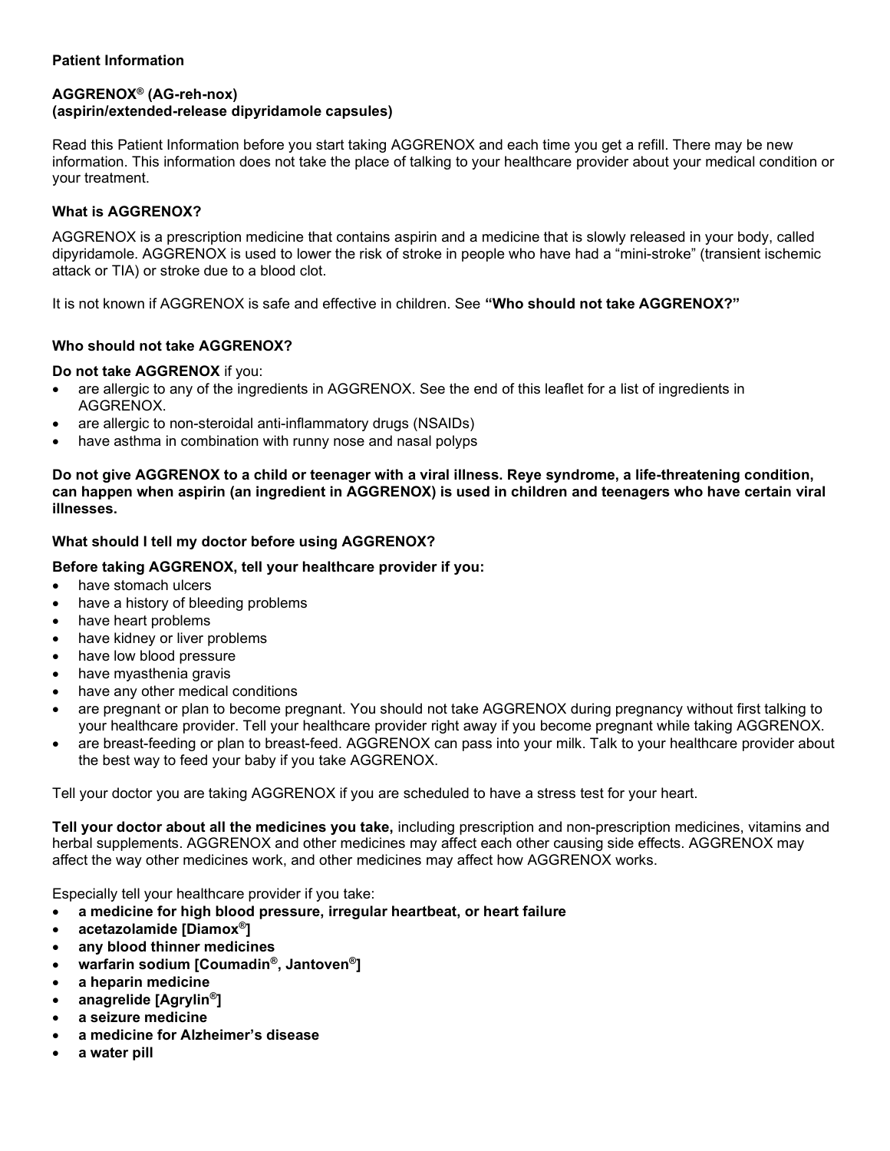# Patient Information

# AGGRENOX® (AG-reh-nox) (aspirin/extended-release dipyridamole capsules)

Read this Patient Information before you start taking AGGRENOX and each time you get a refill. There may be new information. This information does not take the place of talking to your healthcare provider about your medical condition or your treatment.

# What is AGGRENOX?

AGGRENOX is a prescription medicine that contains aspirin and a medicine that is slowly released in your body, called dipyridamole. AGGRENOX is used to lower the risk of stroke in people who have had a "mini-stroke" (transient ischemic attack or TIA) or stroke due to a blood clot.

It is not known if AGGRENOX is safe and effective in children. See "Who should not take AGGRENOX?"

# Who should not take AGGRENOX?

# Do not take AGGRENOX if you:

- are allergic to any of the ingredients in AGGRENOX. See the end of this leaflet for a list of ingredients in AGGRENOX.
- are allergic to non-steroidal anti-inflammatory drugs (NSAIDs)
- have asthma in combination with runny nose and nasal polyps

Do not give AGGRENOX to a child or teenager with a viral illness. Reye syndrome, a life-threatening condition, can happen when aspirin (an ingredient in AGGRENOX) is used in children and teenagers who have certain viral illnesses.

# What should I tell my doctor before using AGGRENOX?

# Before taking AGGRENOX, tell your healthcare provider if you:

- have stomach ulcers
- have a history of bleeding problems
- have heart problems
- have kidney or liver problems
- have low blood pressure
- have myasthenia gravis
- have any other medical conditions
- are pregnant or plan to become pregnant. You should not take AGGRENOX during pregnancy without first talking to your healthcare provider. Tell your healthcare provider right away if you become pregnant while taking AGGRENOX.
- are breast-feeding or plan to breast-feed. AGGRENOX can pass into your milk. Talk to your healthcare provider about the best way to feed your baby if you take AGGRENOX.

Tell your doctor you are taking AGGRENOX if you are scheduled to have a stress test for your heart.

Tell your doctor about all the medicines you take, including prescription and non-prescription medicines, vitamins and herbal supplements. AGGRENOX and other medicines may affect each other causing side effects. AGGRENOX may affect the way other medicines work, and other medicines may affect how AGGRENOX works.

Especially tell your healthcare provider if you take:

- a medicine for high blood pressure, irregular heartbeat, or heart failure
- acetazolamide [Diamox®]
- any blood thinner medicines
- warfarin sodium [Coumadin®, Jantoven®]
- a heparin medicine
- anagrelide [Agrylin®]
- a seizure medicine
- a medicine for Alzheimer's disease
- a water pill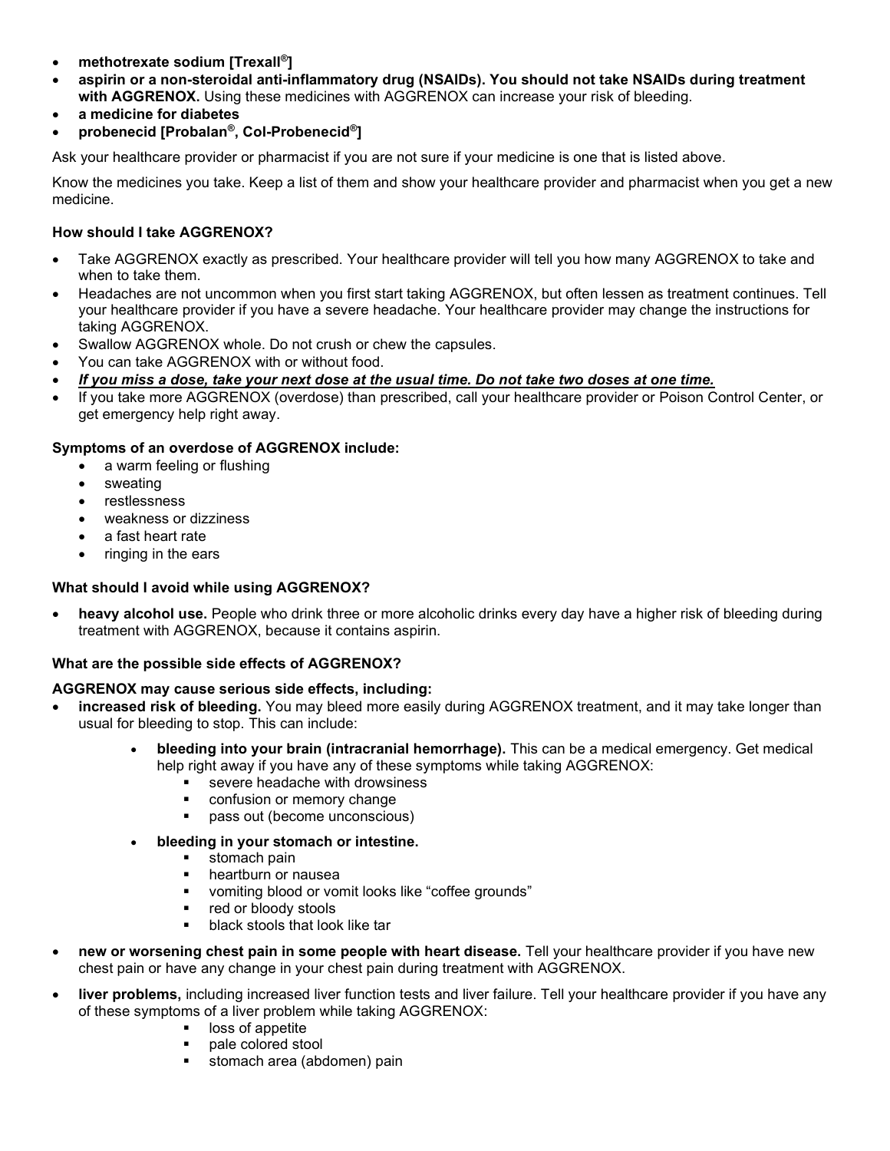- methotrexate sodium [Trexall®]
- aspirin or a non-steroidal anti-inflammatory drug (NSAIDs). You should not take NSAIDs during treatment with AGGRENOX. Using these medicines with AGGRENOX can increase your risk of bleeding.
- a medicine for diabetes
- probenecid [Probalan®, Col-Probenecid®]

Ask your healthcare provider or pharmacist if you are not sure if your medicine is one that is listed above.

Know the medicines you take. Keep a list of them and show your healthcare provider and pharmacist when you get a new medicine.

# How should I take AGGRENOX?

- Take AGGRENOX exactly as prescribed. Your healthcare provider will tell you how many AGGRENOX to take and when to take them.
- Headaches are not uncommon when you first start taking AGGRENOX, but often lessen as treatment continues. Tell your healthcare provider if you have a severe headache. Your healthcare provider may change the instructions for taking AGGRENOX.
- Swallow AGGRENOX whole. Do not crush or chew the capsules.
- You can take AGGRENOX with or without food.
- If you miss a dose, take your next dose at the usual time. Do not take two doses at one time.
- If you take more AGGRENOX (overdose) than prescribed, call your healthcare provider or Poison Control Center, or get emergency help right away.

# Symptoms of an overdose of AGGRENOX include:

- a warm feeling or flushing
- sweating
- restlessness
- weakness or dizziness
- a fast heart rate
- ringing in the ears

# What should I avoid while using AGGRENOX?

heavy alcohol use. People who drink three or more alcoholic drinks every day have a higher risk of bleeding during treatment with AGGRENOX, because it contains aspirin.

# What are the possible side effects of AGGRENOX?

# AGGRENOX may cause serious side effects, including:

- increased risk of bleeding. You may bleed more easily during AGGRENOX treatment, and it may take longer than usual for bleeding to stop. This can include:
	- bleeding into your brain (intracranial hemorrhage). This can be a medical emergency. Get medical help right away if you have any of these symptoms while taking AGGRENOX:
		- severe headache with drowsiness
		- **•** confusion or memory change
		- **pass out (become unconscious)**
	- bleeding in your stomach or intestine.
		- stomach pain<br>■ heartburn or n
		- heartburn or nausea
		- vomiting blood or vomit looks like "coffee grounds"
		- red or bloody stools
		- **black stools that look like tar**
- new or worsening chest pain in some people with heart disease. Tell your healthcare provider if you have new chest pain or have any change in your chest pain during treatment with AGGRENOX.
- liver problems, including increased liver function tests and liver failure. Tell your healthcare provider if you have any of these symptoms of a liver problem while taking AGGRENOX:
	- **I** loss of appetite
	- **pale colored stool**
	- **stomach area (abdomen) pain**